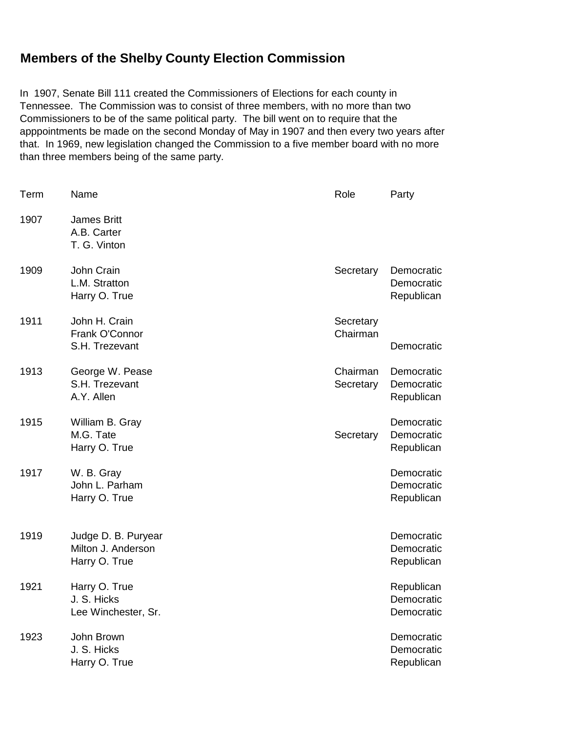## **Members of the Shelby County Election Commission**

In 1907, Senate Bill 111 created the Commissioners of Elections for each county in Tennessee. The Commission was to consist of three members, with no more than two Commissioners to be of the same political party. The bill went on to require that the apppointments be made on the second Monday of May in 1907 and then every two years after that. In 1969, new legislation changed the Commission to a five member board with no more than three members being of the same party.

| Term | Name                                                       | Role                  | Party                                  |
|------|------------------------------------------------------------|-----------------------|----------------------------------------|
| 1907 | <b>James Britt</b><br>A.B. Carter<br>T. G. Vinton          |                       |                                        |
| 1909 | John Crain<br>L.M. Stratton<br>Harry O. True               | Secretary             | Democratic<br>Democratic<br>Republican |
| 1911 | John H. Crain<br>Frank O'Connor<br>S.H. Trezevant          | Secretary<br>Chairman | Democratic                             |
| 1913 | George W. Pease<br>S.H. Trezevant<br>A.Y. Allen            | Chairman<br>Secretary | Democratic<br>Democratic<br>Republican |
| 1915 | William B. Gray<br>M.G. Tate<br>Harry O. True              | Secretary             | Democratic<br>Democratic<br>Republican |
| 1917 | W. B. Gray<br>John L. Parham<br>Harry O. True              |                       | Democratic<br>Democratic<br>Republican |
| 1919 | Judge D. B. Puryear<br>Milton J. Anderson<br>Harry O. True |                       | Democratic<br>Democratic<br>Republican |
| 1921 | Harry O. True<br>J. S. Hicks<br>Lee Winchester, Sr.        |                       | Republican<br>Democratic<br>Democratic |
| 1923 | John Brown<br>J. S. Hicks<br>Harry O. True                 |                       | Democratic<br>Democratic<br>Republican |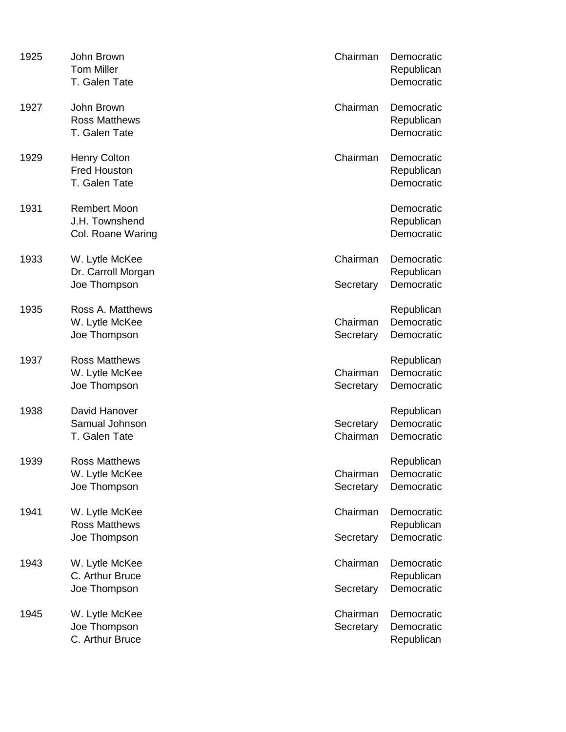| 1925 | John Brown<br><b>Tom Miller</b><br>T. Galen Tate            | Chairman              | Democratic<br>Republican<br>Democratic |
|------|-------------------------------------------------------------|-----------------------|----------------------------------------|
| 1927 | John Brown<br><b>Ross Matthews</b><br>T. Galen Tate         | Chairman              | Democratic<br>Republican<br>Democratic |
| 1929 | <b>Henry Colton</b><br><b>Fred Houston</b><br>T. Galen Tate | Chairman              | Democratic<br>Republican<br>Democratic |
| 1931 | <b>Rembert Moon</b><br>J.H. Townshend<br>Col. Roane Waring  |                       | Democratic<br>Republican<br>Democratic |
| 1933 | W. Lytle McKee<br>Dr. Carroll Morgan<br>Joe Thompson        | Chairman<br>Secretary | Democratic<br>Republican<br>Democratic |
| 1935 | Ross A. Matthews<br>W. Lytle McKee<br>Joe Thompson          | Chairman<br>Secretary | Republican<br>Democratic<br>Democratic |
| 1937 | <b>Ross Matthews</b><br>W. Lytle McKee<br>Joe Thompson      | Chairman<br>Secretary | Republican<br>Democratic<br>Democratic |
| 1938 | David Hanover<br>Samual Johnson<br>T. Galen Tate            | Secretary<br>Chairman | Republican<br>Democratic<br>Democratic |
| 1939 | <b>Ross Matthews</b><br>W. Lytle McKee<br>Joe Thompson      | Chairman<br>Secretary | Republican<br>Democratic<br>Democratic |
| 1941 | W. Lytle McKee<br><b>Ross Matthews</b><br>Joe Thompson      | Chairman<br>Secretary | Democratic<br>Republican<br>Democratic |
| 1943 | W. Lytle McKee<br>C. Arthur Bruce<br>Joe Thompson           | Chairman<br>Secretary | Democratic<br>Republican<br>Democratic |
| 1945 | W. Lytle McKee<br>Joe Thompson<br>C. Arthur Bruce           | Chairman<br>Secretary | Democratic<br>Democratic<br>Republican |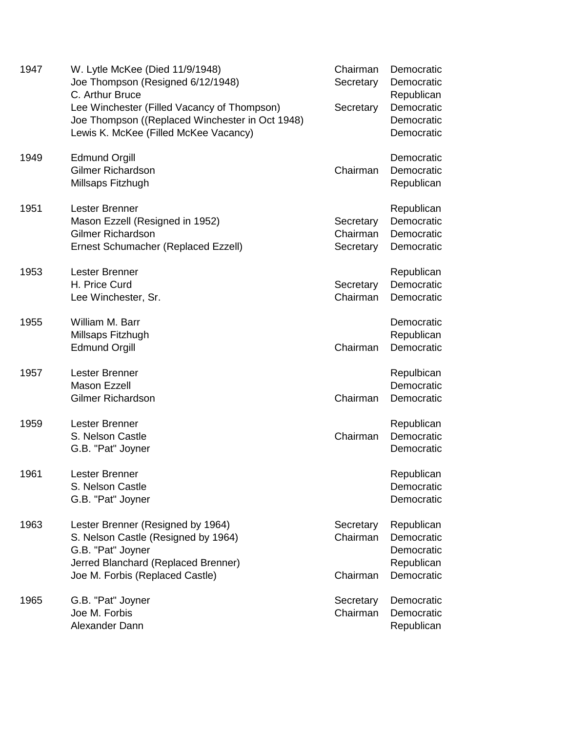| 1947 | W. Lytle McKee (Died 11/9/1948)<br>Joe Thompson (Resigned 6/12/1948)<br>C. Arthur Bruce<br>Lee Winchester (Filled Vacancy of Thompson)<br>Joe Thompson ((Replaced Winchester in Oct 1948)<br>Lewis K. McKee (Filled McKee Vacancy) | Chairman<br>Secretary<br>Secretary | Democratic<br>Democratic<br>Republican<br>Democratic<br>Democratic<br>Democratic |
|------|------------------------------------------------------------------------------------------------------------------------------------------------------------------------------------------------------------------------------------|------------------------------------|----------------------------------------------------------------------------------|
| 1949 | <b>Edmund Orgill</b><br><b>Gilmer Richardson</b><br>Millsaps Fitzhugh                                                                                                                                                              | Chairman                           | Democratic<br>Democratic<br>Republican                                           |
| 1951 | Lester Brenner<br>Mason Ezzell (Resigned in 1952)<br><b>Gilmer Richardson</b><br>Ernest Schumacher (Replaced Ezzell)                                                                                                               | Secretary<br>Chairman<br>Secretary | Republican<br>Democratic<br>Democratic<br>Democratic                             |
| 1953 | Lester Brenner<br>H. Price Curd<br>Lee Winchester, Sr.                                                                                                                                                                             | Secretary<br>Chairman              | Republican<br>Democratic<br>Democratic                                           |
| 1955 | William M. Barr<br>Millsaps Fitzhugh<br><b>Edmund Orgill</b>                                                                                                                                                                       | Chairman                           | Democratic<br>Republican<br>Democratic                                           |
| 1957 | Lester Brenner<br><b>Mason Ezzell</b><br><b>Gilmer Richardson</b>                                                                                                                                                                  | Chairman                           | Repulbican<br>Democratic<br>Democratic                                           |
| 1959 | Lester Brenner<br>S. Nelson Castle<br>G.B. "Pat" Joyner                                                                                                                                                                            | Chairman                           | Republican<br>Democratic<br>Democratic                                           |
| 1961 | Lester Brenner<br>S. Nelson Castle<br>G.B. "Pat" Joyner                                                                                                                                                                            |                                    | Republican<br>Democratic<br>Democratic                                           |
| 1963 | Lester Brenner (Resigned by 1964)<br>S. Nelson Castle (Resigned by 1964)<br>G.B. "Pat" Joyner<br>Jerred Blanchard (Replaced Brenner)<br>Joe M. Forbis (Replaced Castle)                                                            | Secretary<br>Chairman<br>Chairman  | Republican<br>Democratic<br>Democratic<br>Republican<br>Democratic               |
| 1965 | G.B. "Pat" Joyner<br>Joe M. Forbis<br>Alexander Dann                                                                                                                                                                               | Secretary<br>Chairman              | Democratic<br>Democratic<br>Republican                                           |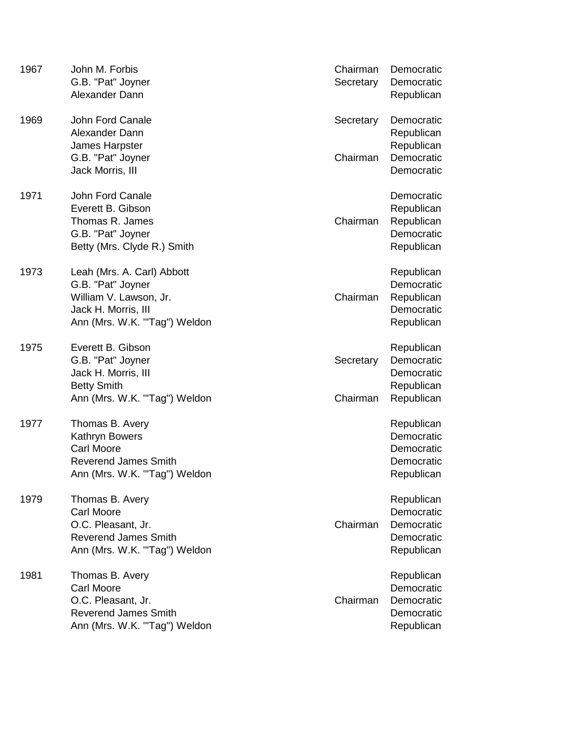| 1967 | John M. Forbis<br>G.B. "Pat" Joyner<br>Alexander Dann                                                                            | Chairman<br>Secretary | Democratic<br>Democratic<br>Republican                             |
|------|----------------------------------------------------------------------------------------------------------------------------------|-----------------------|--------------------------------------------------------------------|
| 1969 | John Ford Canale<br>Alexander Dann<br>James Harpster<br>G.B. "Pat" Joyner                                                        | Secretary<br>Chairman | Democratic<br>Republican<br>Republican<br>Democratic               |
|      | Jack Morris, III                                                                                                                 |                       | Democratic                                                         |
| 1971 | John Ford Canale<br>Everett B. Gibson<br>Thomas R. James<br>G.B. "Pat" Joyner<br>Betty (Mrs. Clyde R.) Smith                     | Chairman              | Democratic<br>Republican<br>Republican<br>Democratic<br>Republican |
| 1973 | Leah (Mrs. A. Carl) Abbott<br>G.B. "Pat" Joyner<br>William V. Lawson, Jr.<br>Jack H. Morris, III<br>Ann (Mrs. W.K. "Tag") Weldon | Chairman              | Republican<br>Democratic<br>Republican<br>Democratic<br>Republican |
| 1975 | Everett B. Gibson<br>G.B. "Pat" Joyner<br>Jack H. Morris, III<br><b>Betty Smith</b><br>Ann (Mrs. W.K. "Tag") Weldon              | Secretary<br>Chairman | Republican<br>Democratic<br>Democratic<br>Republican<br>Republican |
| 1977 | Thomas B. Avery<br>Kathryn Bowers<br><b>Carl Moore</b><br><b>Reverend James Smith</b><br>Ann (Mrs. W.K. "Tag") Weldon            |                       | Republican<br>Democratic<br>Democratic<br>Democratic<br>Republican |
| 1979 | Thomas B. Avery<br><b>Carl Moore</b><br>O.C. Pleasant, Jr.<br><b>Reverend James Smith</b><br>Ann (Mrs. W.K. "Tag") Weldon        | Chairman              | Republican<br>Democratic<br>Democratic<br>Democratic<br>Republican |
| 1981 | Thomas B. Avery<br><b>Carl Moore</b><br>O.C. Pleasant, Jr.<br><b>Reverend James Smith</b><br>Ann (Mrs. W.K. "Tag") Weldon        | Chairman              | Republican<br>Democratic<br>Democratic<br>Democratic<br>Republican |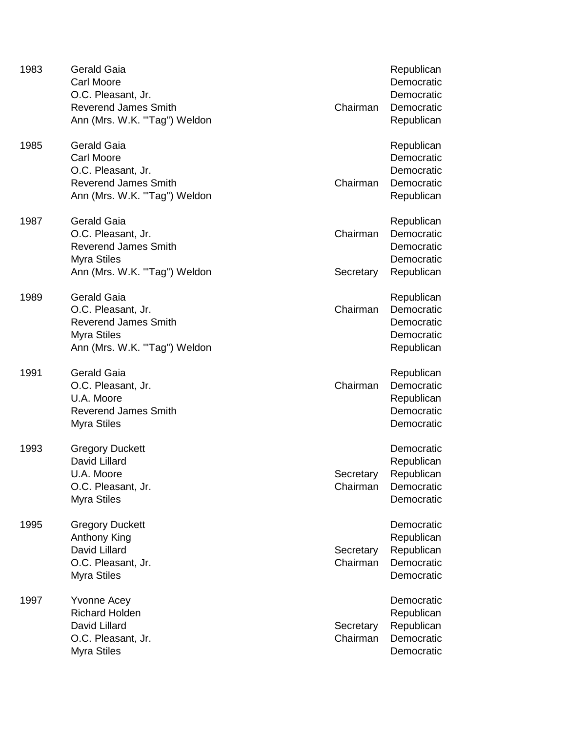| 1983 | <b>Gerald Gaia</b><br><b>Carl Moore</b><br>O.C. Pleasant, Jr.<br><b>Reverend James Smith</b><br>Ann (Mrs. W.K. "Tag") Weldon  | Chairman              | Republican<br>Democratic<br>Democratic<br>Democratic<br>Republican |
|------|-------------------------------------------------------------------------------------------------------------------------------|-----------------------|--------------------------------------------------------------------|
| 1985 | <b>Gerald Gaia</b><br><b>Carl Moore</b><br>O.C. Pleasant, Jr.<br><b>Reverend James Smith</b><br>Ann (Mrs. W.K. "Tag") Weldon  | Chairman              | Republican<br>Democratic<br>Democratic<br>Democratic<br>Republican |
| 1987 | <b>Gerald Gaia</b><br>O.C. Pleasant, Jr.<br><b>Reverend James Smith</b><br><b>Myra Stiles</b><br>Ann (Mrs. W.K. "Tag") Weldon | Chairman<br>Secretary | Republican<br>Democratic<br>Democratic<br>Democratic<br>Republican |
| 1989 | <b>Gerald Gaia</b><br>O.C. Pleasant, Jr.<br><b>Reverend James Smith</b><br><b>Myra Stiles</b><br>Ann (Mrs. W.K. "Tag") Weldon | Chairman              | Republican<br>Democratic<br>Democratic<br>Democratic<br>Republican |
| 1991 | <b>Gerald Gaia</b><br>O.C. Pleasant, Jr.<br>U.A. Moore<br><b>Reverend James Smith</b><br><b>Myra Stiles</b>                   | Chairman              | Republican<br>Democratic<br>Republican<br>Democratic<br>Democratic |
| 1993 | <b>Gregory Duckett</b><br>David Lillard<br>U.A. Moore<br>O.C. Pleasant, Jr.<br><b>Myra Stiles</b>                             | Secretary<br>Chairman | Democratic<br>Republican<br>Republican<br>Democratic<br>Democratic |
| 1995 | <b>Gregory Duckett</b><br>Anthony King<br>David Lillard<br>O.C. Pleasant, Jr.<br><b>Myra Stiles</b>                           | Secretary<br>Chairman | Democratic<br>Republican<br>Republican<br>Democratic<br>Democratic |
| 1997 | <b>Yvonne Acey</b><br><b>Richard Holden</b><br>David Lillard<br>O.C. Pleasant, Jr.<br><b>Myra Stiles</b>                      | Secretary<br>Chairman | Democratic<br>Republican<br>Republican<br>Democratic<br>Democratic |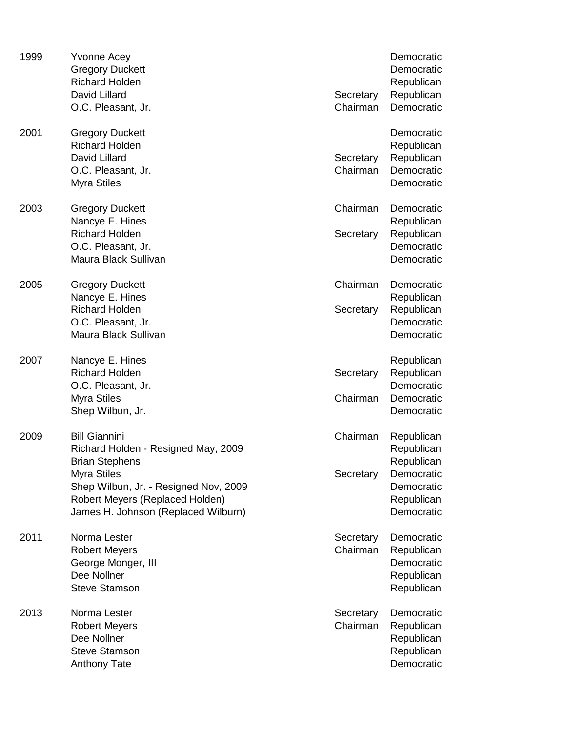| 1999 | <b>Yvonne Acey</b><br><b>Gregory Duckett</b><br><b>Richard Holden</b><br>David Lillard<br>O.C. Pleasant, Jr.                                                                                                                  | Secretary<br>Chairman | Democratic<br>Democratic<br>Republican<br>Republican<br>Democratic                             |
|------|-------------------------------------------------------------------------------------------------------------------------------------------------------------------------------------------------------------------------------|-----------------------|------------------------------------------------------------------------------------------------|
| 2001 | <b>Gregory Duckett</b><br><b>Richard Holden</b><br>David Lillard<br>O.C. Pleasant, Jr.<br><b>Myra Stiles</b>                                                                                                                  | Secretary<br>Chairman | Democratic<br>Republican<br>Republican<br>Democratic<br>Democratic                             |
| 2003 | <b>Gregory Duckett</b><br>Nancye E. Hines<br><b>Richard Holden</b><br>O.C. Pleasant, Jr.<br>Maura Black Sullivan                                                                                                              | Chairman<br>Secretary | Democratic<br>Republican<br>Republican<br>Democratic<br>Democratic                             |
| 2005 | <b>Gregory Duckett</b><br>Nancye E. Hines<br><b>Richard Holden</b><br>O.C. Pleasant, Jr.<br>Maura Black Sullivan                                                                                                              | Chairman<br>Secretary | Democratic<br>Republican<br>Republican<br>Democratic<br>Democratic                             |
| 2007 | Nancye E. Hines<br><b>Richard Holden</b><br>O.C. Pleasant, Jr.<br><b>Myra Stiles</b><br>Shep Wilbun, Jr.                                                                                                                      | Secretary<br>Chairman | Republican<br>Republican<br>Democratic<br>Democratic<br>Democratic                             |
| 2009 | <b>Bill Giannini</b><br>Richard Holden - Resigned May, 2009<br><b>Brian Stephens</b><br><b>Myra Stiles</b><br>Shep Wilbun, Jr. - Resigned Nov, 2009<br>Robert Meyers (Replaced Holden)<br>James H. Johnson (Replaced Wilburn) | Chairman<br>Secretary | Republican<br>Republican<br>Republican<br>Democratic<br>Democratic<br>Republican<br>Democratic |
| 2011 | Norma Lester<br><b>Robert Meyers</b><br>George Monger, III<br>Dee Nollner<br><b>Steve Stamson</b>                                                                                                                             | Secretary<br>Chairman | Democratic<br>Republican<br>Democratic<br>Republican<br>Republican                             |
| 2013 | Norma Lester<br><b>Robert Meyers</b><br>Dee Nollner<br><b>Steve Stamson</b><br><b>Anthony Tate</b>                                                                                                                            | Secretary<br>Chairman | Democratic<br>Republican<br>Republican<br>Republican<br>Democratic                             |